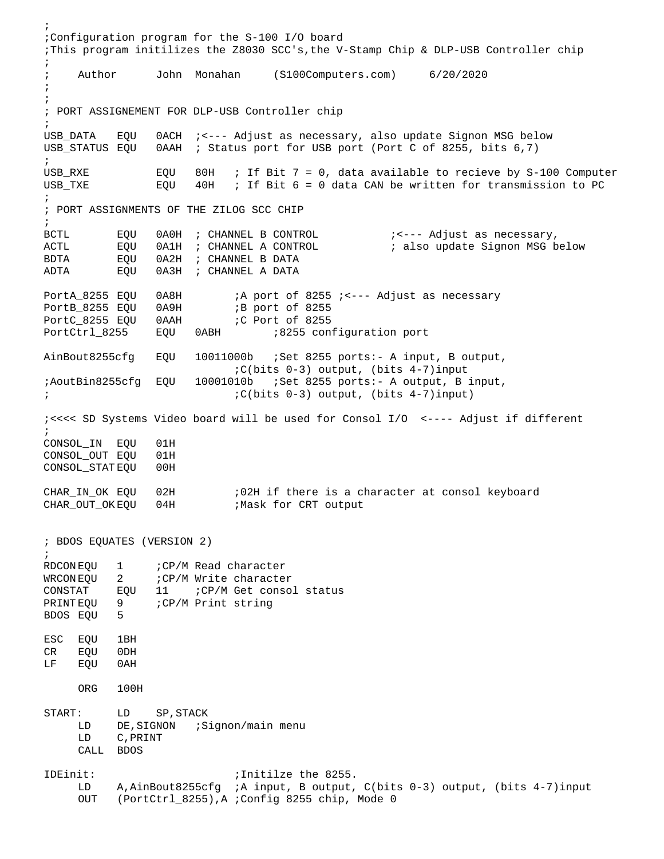; ;Configuration program for the S-100 I/O board ;This program initilizes the Z8030 SCC's,the V-Stamp Chip & DLP-USB Controller chip ; ; Author John Monahan (S100Computers.com) 6/20/2020 ; ; ; PORT ASSIGNEMENT FOR DLP-USB Controller chip ;<br>USB DATA USB\_DATA EQU 0ACH ; <--- Adjust as necessary, also update Signon MSG below<br>USB STATUS EOU 0AAH ; Status port for USB port (Port C of 8255, bits 6,7) 0AAH ; Status port for USB port (Port C of 8255, bits 6,7) ; USB\_RXE EQU 80H ; If Bit  $7 = 0$ , data available to recieve by S-100 Computer USB\_TXE EQU 40H ; If Bit  $6 = 0$  data CAN be written for transmission to PC  $40H$  ; If Bit 6 = 0 data CAN be written for transmission to PC ; ; PORT ASSIGNMENTS OF THE ZILOG SCC CHIP ;<br>BCTL BCTL EQU 0A0H ; CHANNEL B CONTROL ;<--- Adjust as necessary, ; also update Signon MSG below BDTA EQU 0A2H ; CHANNEL B DATA EQU 0A3H ; CHANNEL A DATA PortA\_8255 EQU 0A8H :A port of 8255 ; <--- Adjust as necessary<br>PortB\_8255 EQU 0A9H :B port of 8255 B port of 8255<br>C Port of 8255 PortC\_8255 EQU 0AAH<br>PortCtrl\_8255 EQU 0ABH  $B255$  configuration port AinBout8255cfg EQU 10011000b ;Set 8255 ports:- A input, B output, ;C(bits 0-3) output, (bits 4-7)input ;AoutBin8255cfg EQU 10001010b ;Set 8255 ports:- A output, B input, ; ;C(bits 0-3) output, (bits 4-7)input) ;<<<< SD Systems Video board will be used for Consol I/O <---- Adjust if different ; CONSOL\_IN EQU 01H CONSOL\_OUT EQU 01H<br>CONSOL STATEOU 00H CONSOL\_STAT EQU CHAR\_IN\_OK EQU 02H :02H if there is a character at consol keyboard<br>CHAR\_OUT\_OK EQU 04H :Mask for CRT output CHAR\_OUT\_OK EQU 04H ; BDOS EQUATES (VERSION 2) ;<br>RDCON EOU RDCON EQU 1 ;CP/M Read character<br>WRCON EOU 2 ;CP/M Write character WRCON EQU 2 : CP/M Write character<br>CONSTAT EQU 11 : CP/M Get conso CONSTAT EQU 11 ; CP/M Get consol status<br>PRINTEQU 9 : CP/M Print string PCP/M Print string BDOS EQU 5 ESC EQU 1BH CR EQU 0DH LF EQU 0AH ORG 100H START: LD SP, STACK<br>I.D DE SIGNON :S LD DE, SIGNON ; Signon/main menu<br>LD C, PRINT C, PRINT CALL BDOS IDEinit: ; Initilze the 8255.<br>.ID A.AinBout8255cfa ;A input. B output. A, AinBout8255cfg ; A input, B output, C(bits 0-3) output, (bits 4-7)input OUT (PortCtrl\_8255),A ;Config 8255 chip, Mode 0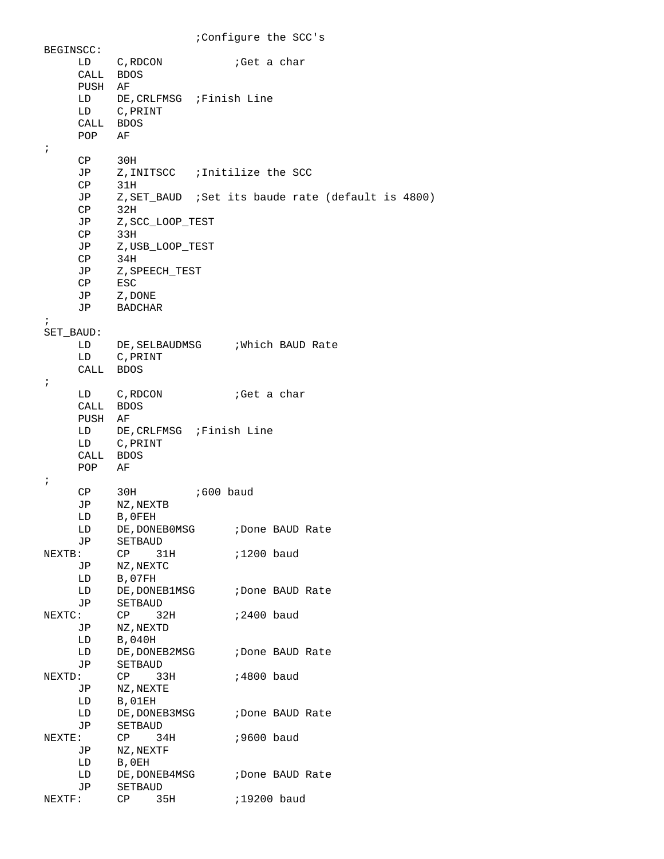BEGINSCC: LD C, RDCON ; Get a char CALL BDOS PUSH AF LD DE, CRLFMSG ; Finish Line<br>LD C.PRINT C, PRINT CALL BDOS<br>POP AF  $POP$ ; CP 30H<br>JP Z, IN JP Z,INITSCC ;Initilize the SCC  $CP$ JP Z,SET\_BAUD ;Set its baude rate (default is 4800) CP<br>JP JP Z, SCC\_LOOP\_TEST<br>CP 33H CP 33H<br>JP Z,U JP Z,USB\_LOOP\_TEST<br>CP 34H  $34H$ JP Z,SPEECH\_TEST CP ESC JP Z,DONE<br>JP BADCHAI **BADCHAR** ; SET\_BAUD: LD DE, SELBAUDMSG : Which BAUD Rate<br>
LD C, PRINT C, PRINT CALL BDOS ; LD C, RDCON ;Get a char CALL BDOS PUSH AF LD DE, CRLFMSG ; Finish Line<br>LD C, PRINT C, PRINT CALL BDOS<br>POP AF  $POP$ ; CP 30H ;600 baud JP NZ,NEXTB LD B,0FEH LD DE, DONEBOMSG ; Done BAUD Rate JP SETBAUD<br>NEXTB: CP 31  $CP$  31H  $;1200$  baud JP NZ, NEXTC<br>LD B, 07FH LD B,07FH<br>LD DE.DONI DE, DONEB1MSG ; Done BAUD Rate JP SETBAUD<br>NEXTC: CP 32H : CP 32H ;2400 baud<br>JP NZ,NEXTD JP NZ,NEXTD LD B,040H<br>LD DE,DONEB2MSG ;Done BAUD Rate JP SETBAUD<br>NEXTD: CP 33H : CP 33H ;4800 baud<br>JP NZ,NEXTE JP NZ,NEXTE LD B,01EH<br>LD DE.DONI DE, DONEB3MSG ; Done BAUD Rate JP SETBAUD<br>NEXTE: CP 34 : CP 34H ;9600 baud<br>JP NZ,NEXTF JP NZ,NEXTF LD B,0EH<br>LD DE,DONEB4MSG LD DE, DONEB4MSG : Done BAUD Rate<br>JP SETBAUD JP SETBAUD<br>NEXTF: CP 3! CP 35H ;19200 baud

;Configure the SCC's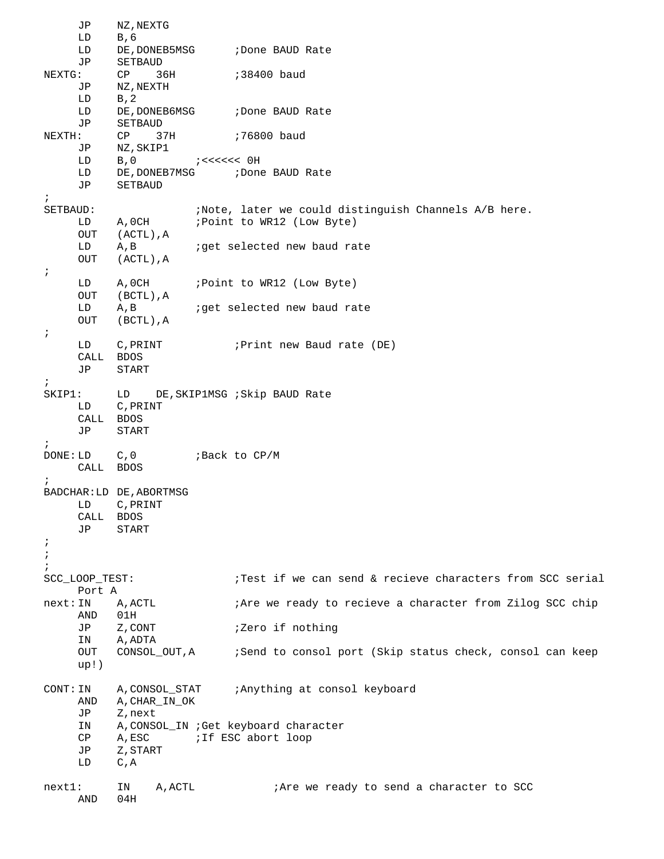JP NZ, NEXTG<br>LD B, 6 LD B,6<br>LD DE,1 DE, DONEB5MSG ; Done BAUD Rate JP SETBAUD<br>NEXTG: CP 36 EXTRESS THE STATE SERVICE SERVICE STATE SERVICE SERVICE SERVICE SERVICE SERVICE SERVICE SERVICE SERVICE SERVICE SERVICE SERVICE SERVICE SERVICE SERVICE SERVICE SERVICE SERVICE SERVICE SERVICE SERVICE SERVICE SERVICE SERVIC JP NZ,NEXTH LD B,2<br>LD DE,DONEB6MSG LD DE, DONEB6MSG : Done BAUD Rate<br>JP SETBAUD JP SETBAUD<br>NEXTH: CP 37H  $\begin{array}{lll} \text{NSE} & \text{NSE} & \text{NSE} \\ \text{NSE} & \text{NSE} & \text{NSE} \\ \text{NSE} & \text{NSE} & \text{NSE} \\ \text{NSE} & \text{NSE} & \text{NSE} \\ \text{NSE} & \text{NSE} & \text{NSE} \\ \text{NSE} & \text{NSE} & \text{NSE} \\ \text{NSE} & \text{NSE} & \text{NSE} \\ \text{NSE} & \text{NSE} & \text{NSE} \\ \text{NSE} & \text{NSE} & \text{NSE} \\ \text{NSE} & \text{NSE} & \text{NSE} \\ \text$ JP NZ,SKIP1 LD B, 0 ; <<<<<< OH<br>
LD DE, DONEB7MSG ; Done LD DE, DONEB7MSG ; Done BAUD Rate<br>JP SETBAUD SETBAUD ;<br>SETBAUD: SETBAUD: ;Note, later we could distinguish Channels A/B here. LD A, OCH ; Point to WR12 (Low Byte)<br>OUT (ACTL), A OUT (ACTL), A<br>LD A, B ; qet selected new baud rate OUT (ACTL),A ; LD A, OCH ; Point to WR12 (Low Byte) OUT (BCTL), A<br>LD A, B LD A,B *i*get selected new baud rate<br>OUT (BCTL),A (BCTL), A ; LD C, PRINT ; Print new Baud rate (DE) CALL BDOS<br>JP START START ; SKIP1: LD DE, SKIP1MSG ; Skip BAUD Rate<br>LD C, PRINT C, PRINT CALL BDOS JP START ; DONE: LD C,0 ;Back to CP/M CALL BDOS ; BADCHAR:LD DE,ABORTMSG LD C,PRINT CALL BDOS JP START ; ; ;<br>SCC LOOP TEST: ;Test if we can send & recieve characters from SCC serial Port A next: IN A, ACTL : Are we ready to recieve a character from Zilog SCC chip AND 01H<br>JP Z,CONT JP Z,CONT  $i$ Zero if nothing<br>IN A,ADTA IN A,ADTA<br>OUT CONSOL\_OUT,A ;Send to consol port (Skip status check, consol can keep up!) CONT: IN A,CONSOL\_STAT ;Anything at consol keyboard AND A, CHAR\_IN\_OK<br>JP Z, next JP Z,next IN A,CONSOL\_IN ;Get keyboard character CP A, ESC : If ESC abort loop<br>JP Z, START JP Z,START<br>LD C,A C,  $A$ next1: IN A, ACTL ;Are we ready to send a character to SCC AND 04H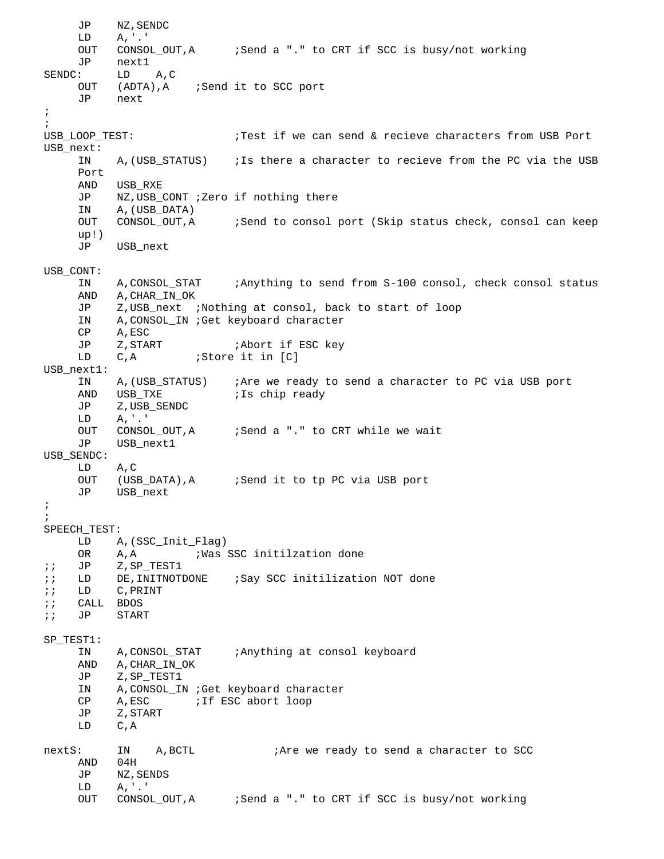JP NZ, SENDC<br>LD A, '.'  $A, '.'$ OUT CONSOL\_OUT, A :Send a "." to CRT if SCC is busy/not working JP next1 SENDC: LD A,C<br>OUT (ADTA), A OUT (ADTA), A ; Send it to SCC port<br>JP next next ; ;<br>USB\_LOOP\_TEST: ;Test if we can send & recieve characters from USB Port USB\_next: A, (USB\_STATUS) ; Is there a character to recieve from the PC via the USB Port AND USB\_RXE<br>JP NZ.USB JP NZ, USB\_CONT ; Zero if nothing there<br>IN A. (USB DATA) IN A, (USB\_DATA)<br>OUT CONSOL OUT, A CONSOL\_OUT, A :Send to consol port (Skip status check, consol can keep up!)<br>JP USB next USB\_CONT: IN A,CONSOL\_STAT ;Anything to send from S-100 consol, check consol status AND A, CHAR\_IN\_OK<br>JP Z, USB next JP Z,USB\_next ;Nothing at consol, back to start of loop IN A,CONSOL\_IN ;Get keyboard character CP A, ESC<br>JP Z, START JP Z, START *;Abort if ESC key*<br>LD C,A *;Store it in* [C]  $i$ Store it in  $[C]$ USB\_next1: IN A,(USB\_STATUS) ;Are we ready to send a character to PC via USB port AND USB\_TXE ;Is chip ready JP Z,USB\_SENDC<br>LD A.'.' LD A,'.' OUT CONSOL\_OUT, A :Send a "." to CRT while we wait<br>JP USB next1 USB next1 USB\_SENDC: LD A,C ;Send it to tp PC via USB port JP USB\_next ; ; SPEECH\_TEST:<br>A LD A, (SSC\_Init\_Flag)<br>OR A, A ; Was : OR A, A ; Was SSC initilzation done<br>JP Z, SP TEST1 ;; JP Z,SP\_TEST1<br>;; LD DE,INITNOTI ;; LD DE,INITNOTDONE ;Say SCC initilization NOT done<br>;; LD C.PRINT C, PRINT ;; CALL BDOS ;; JP START SP\_TEST1: IN A,CONSOL\_STAT ;Anything at consol keyboard AND A, CHAR\_IN\_OK<br>JP Z, SP TEST1 Z,SP\_TEST1 IN A,CONSOL\_IN ;Get keyboard character CP A, ESC : If ESC abort loop<br>JP Z.START JP Z,START  $C, A$ nextS: IN A, BCTL ;Are we ready to send a character to SCC AND 04H AND JP NZ,SENDS LD A,'.' ;Send a "." to CRT if SCC is busy/not working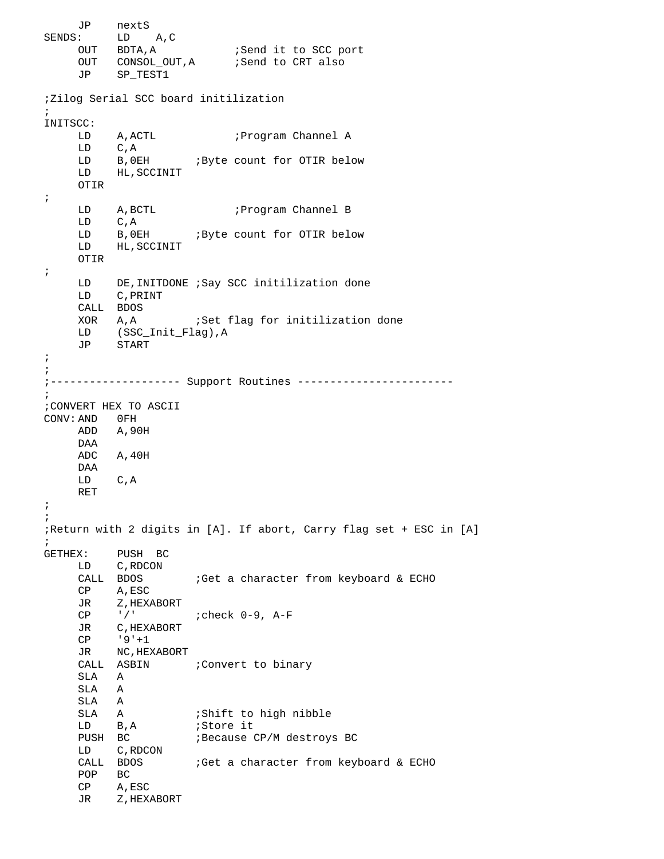JP nextS<br>SENDS: LD : LD A,C<br>OUT BDTA,A OUT BDTA,A :Send it to SCC port OUT CONSOL\_OUT,A :Send to CRT also JP SP\_TEST1 ;Zilog Serial SCC board initilization ; INITSCC: LD A, ACTL : Program Channel A<br>
LD C, A LD C,A<br>LD B,0EH LD B, OEH ; Byte count for OTIR below<br>LD HL, SCCINIT HL, SCCINIT OTIR ; LD A, BCTL ; Program Channel B LD C, A<br>LD B, 0E LD B, 0EH ; Byte count for OTIR below<br>LD HL, SCCINIT HL, SCCINIT OTIR ; LD DE,INITDONE ;Say SCC initilization done LD C,PRINT CALL BDOS<br>XOR A,A ; Set flag for initilization done LD (SSC\_Init\_Flag),A JP START ; ; ;-------------------- Support Routines ------------------------ ; ;CONVERT HEX TO ASCII CONV: AND 0FH<br>ADD A, 90 A,90H DAA ADC A,40H DAA LD C,A RET ; ; ;Return with 2 digits in [A]. If abort, Carry flag set + ESC in [A] ;<br>GETHEX: PUSH BC LD C, RDCON<br>CALL BDOS ;Get a character from keyboard & ECHO CP A,ESC JR Z, HEXABORT<br>CP '/' ; check 0-9, A-F JR C, HEXABORT<br>CP '9'+1 CP '9'+1<br>JR NC, HEX NC, HEXABORT CALL ASBIN : Convert to binary SLA A SLA A SLA A<br>SLA A SLA A :Shift to high nibble<br>
LD B,A :Store it LD B, A *;Store it*<br>PUSH BC *;Because* ; Because CP/M destroys BC LD C,RDCON ;Get a character from keyboard & ECHO POP BC CP A,ESC JR Z, HEXABORT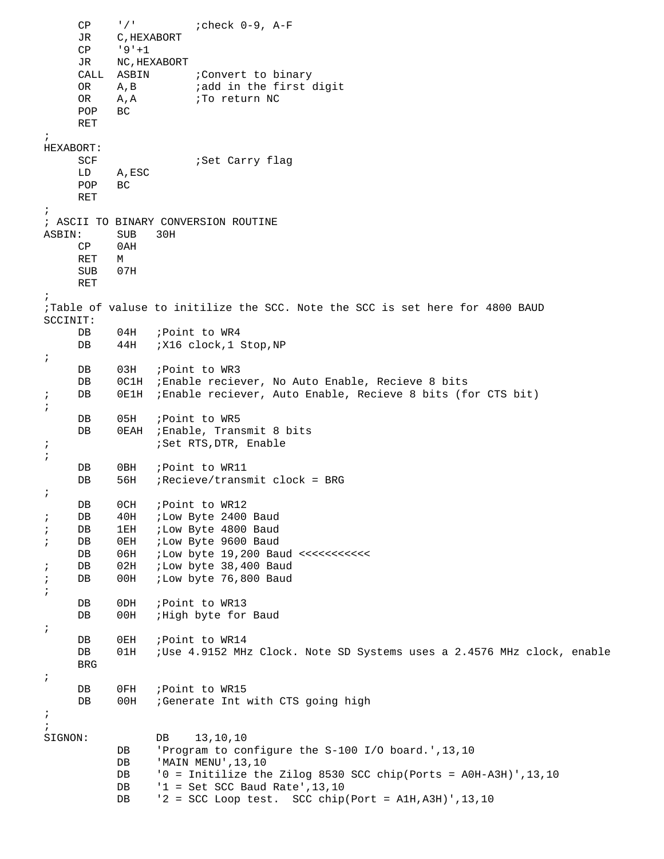$CP$  '/' ;check  $0-9$ ,  $A-F$ <br>JR C, HEXABORT JR C, HEXABORT<br>CP '9'+1  $'9' + 1$ JR NC,HEXABORT CALL ASBIN : Convert to binary<br>OR A,B *i*add in the first OR A,B *i*add in the first digit<br>OR A,A *i*To return NC A, A *;*To return NC BC  $POP$ RET ; HEXABORT: SCF ;Set Carry flag A,ESC<br>BC  $POP$ RET ; % ASCII TO BINARY CONVERSION ROUTINE<br>ASBIN: SUB 30H : SUB 30H<br>CP 0AH 0AH<br>M  $RET$ SUB 07H RET ; ;Table of valuse to initilize the SCC. Note the SCC is set here for 4800 BAUD SCCINIT: DB 04H ; Point to WR4<br>DB 44H ; X16 clock, 1; 44H ; X16 clock, 1 Stop, NP ; DB 03H ; Point to WR3 DB 0C1H ;Enable reciever, No Auto Enable, Recieve 8 bits ; DB 0E1H ;Enable reciever, Auto Enable, Recieve 8 bits (for CTS bit) ; DB 05H ; Point to WR5<br>DB 0EAH ; Enable, Tran OEAH ; Enable, Transmit 8 bits ; ;Set RTS,DTR, Enable ; DB 0BH ;Point to WR11<br>DB 56H ;Recieve/trans  $56H$  ; Recieve/transmit clock = BRG ; DB 0CH ; Point to WR12<br>DB 40H ; Low Byte 2400 ; DB 40H ;Low Byte 2400 Baud<br>; DB 1EH ;Low Byte 4800 Baud ; DB 1EH ;Low Byte 4800 Baud<br>; DB 0EH ;Low Byte 9600 Baud DB 0EH ;Low Byte 9600 Baud<br>DB 06H ;Low byte 19,200 Ba DB 06H ;Low byte 19,200 Baud <<<<<<<<<<< ; DB 02H ;Low byte 38,400 Baud<br>; DB 00H ;Low byte 76,800 Baud ;Low byte 76,800 Baud ; DB 0DH ; Point to WR13 DB 00H ; High byte for Baud ; DB 0EH ; Point to WR14<br>DB 01H ; Use 4.9152 MH: ;Use 4.9152 MHz Clock. Note SD Systems uses a 2.4576 MHz clock, enable BRG ; DB 0FH ; Point to WR15<br>DB 00H ; Generate Int 00H ; Generate Int with CTS going high ; ;<br>SIGNON: DB 13,10,10<br>DB 'Program to co DB 'Program to configure the S-100 I/O board.',13,10<br>DB 'MAIN MENU',13,10 DB 'MAIN MENU', 13, 10<br>DB '0 = Initilize the DB  $'0 =$  Initilize the Zilog 8530 SCC chip(Ports = A0H-A3H)',13,10<br>DB  $'1 =$  Set SCC Baud Rate',13,10 DB '1 = Set SCC Baud Rate', 13,10<br>DB '2 = SCC Loop test. SCC chip  $'2$  = SCC Loop test. SCC chip(Port = A1H, A3H)', 13,10